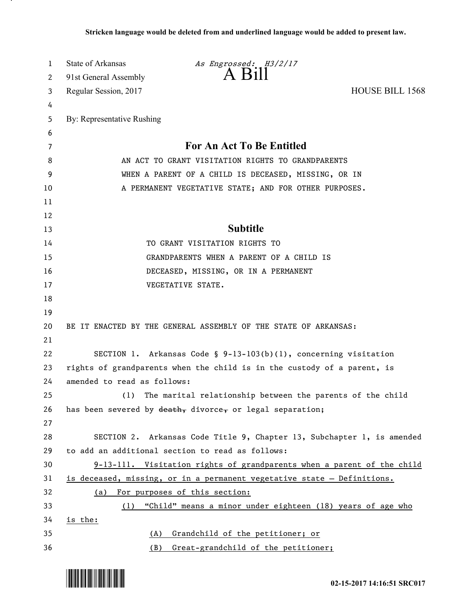| 1                     | State of Arkansas           | As Engrossed: H3/2/17                                                   |                        |
|-----------------------|-----------------------------|-------------------------------------------------------------------------|------------------------|
| $\mathbf{2}^{\prime}$ | 91st General Assembly       | $\overline{A}$ $\overline{B}1$                                          |                        |
| 3                     | Regular Session, 2017       |                                                                         | <b>HOUSE BILL 1568</b> |
| 4                     |                             |                                                                         |                        |
| 5                     | By: Representative Rushing  |                                                                         |                        |
| 6                     |                             |                                                                         |                        |
| 7                     |                             | For An Act To Be Entitled                                               |                        |
| 8                     |                             | AN ACT TO GRANT VISITATION RIGHTS TO GRANDPARENTS                       |                        |
| 9                     |                             | WHEN A PARENT OF A CHILD IS DECEASED, MISSING, OR IN                    |                        |
| 10                    |                             | A PERMANENT VEGETATIVE STATE; AND FOR OTHER PURPOSES.                   |                        |
| 11                    |                             |                                                                         |                        |
| 12                    |                             |                                                                         |                        |
| 13                    |                             | <b>Subtitle</b>                                                         |                        |
| 14                    |                             | TO GRANT VISITATION RIGHTS TO                                           |                        |
| 15                    |                             | GRANDPARENTS WHEN A PARENT OF A CHILD IS                                |                        |
| 16                    |                             | DECEASED, MISSING, OR IN A PERMANENT                                    |                        |
| 17                    |                             | VEGETATIVE STATE.                                                       |                        |
| 18                    |                             |                                                                         |                        |
| 19                    |                             |                                                                         |                        |
| 20                    |                             | BE IT ENACTED BY THE GENERAL ASSEMBLY OF THE STATE OF ARKANSAS:         |                        |
| 21                    |                             |                                                                         |                        |
| 22                    |                             | SECTION 1. Arkansas Code § 9-13-103(b)(1), concerning visitation        |                        |
| 23                    |                             | rights of grandparents when the child is in the custody of a parent, is |                        |
| 24                    | amended to read as follows: |                                                                         |                        |
| 25                    | (1)                         | The marital relationship between the parents of the child               |                        |
| 26                    |                             | has been severed by $\frac{death}{ }$ divorce, or legal separation;     |                        |
| 27                    |                             |                                                                         |                        |
| 28                    |                             | SECTION 2. Arkansas Code Title 9, Chapter 13, Subchapter 1, is amended  |                        |
| 29                    |                             | to add an additional section to read as follows:                        |                        |
| 30                    |                             | 9-13-111. Visitation rights of grandparents when a parent of the child  |                        |
| 31                    |                             | is deceased, missing, or in a permanent vegetative state - Definitions. |                        |
| 32                    |                             | (a) For purposes of this section:                                       |                        |
| 33                    | (1)                         | "Child" means a minor under eighteen (18) years of age who              |                        |
| 34                    | is the:                     |                                                                         |                        |
| 35                    | (A)                         | Grandchild of the petitioner; or                                        |                        |
| 36                    |                             | (B) Great-grandchild of the petitioner;                                 |                        |



.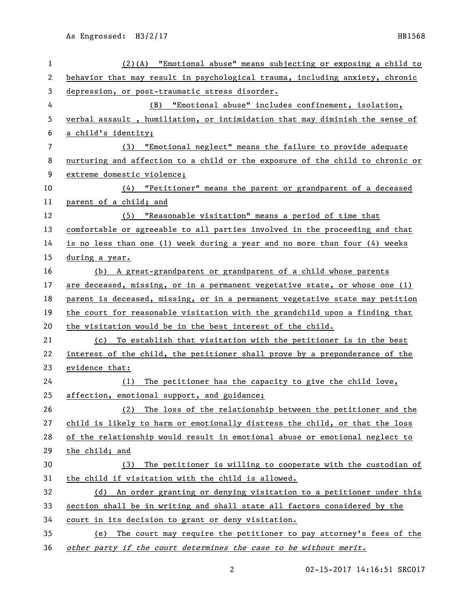| 1  | (2)(A) "Emotional abuse" means subjecting or exposing a child to              |  |  |
|----|-------------------------------------------------------------------------------|--|--|
| 2  | behavior that may result in psychological trauma, including anxiety, chronic  |  |  |
| 3  | depression, or post-traumatic stress disorder.                                |  |  |
| 4  | (B) "Emotional abuse" includes confinement, isolation,                        |  |  |
| 5  | verbal assault, humiliation, or intimidation that may diminish the sense of   |  |  |
| 6  | a child's identity;                                                           |  |  |
| 7  | (3) "Emotional neglect" means the failure to provide adequate                 |  |  |
| 8  | nurturing and affection to a child or the exposure of the child to chronic or |  |  |
| 9  | extreme domestic violence;                                                    |  |  |
| 10 | (4) "Petitioner" means the parent or grandparent of a deceased                |  |  |
| 11 | parent of a child; and                                                        |  |  |
| 12 | (5) "Reasonable visitation" means a period of time that                       |  |  |
| 13 | comfortable or agreeable to all parties involved in the proceeding and that   |  |  |
| 14 | is no less than one (1) week during a year and no more than four (4) weeks    |  |  |
| 15 | during a year.                                                                |  |  |
| 16 | (b) A great-grandparent or grandparent of a child whose parents               |  |  |
| 17 | are deceased, missing, or in a permanent vegetative state, or whose one (1)   |  |  |
| 18 | parent is deceased, missing, or in a permanent vegetative state may petition  |  |  |
| 19 | the court for reasonable visitation with the grandchild upon a finding that   |  |  |
| 20 | the visitation would be in the best interest of the child.                    |  |  |
| 21 | (c) To establish that visitation with the petitioner is in the best           |  |  |
| 22 | interest of the child, the petitioner shall prove by a preponderance of the   |  |  |
| 23 | evidence that:                                                                |  |  |
| 24 | The petitioner has the capacity to give the child love,<br>(1)                |  |  |
| 25 | affection, emotional support, and guidance;                                   |  |  |
| 26 | The loss of the relationship between the petitioner and the<br>(2)            |  |  |
| 27 | child is likely to harm or emotionally distress the child, or that the loss   |  |  |
| 28 | of the relationship would result in emotional abuse or emotional neglect to   |  |  |
| 29 | the child; and                                                                |  |  |
| 30 | The petitioner is willing to cooperate with the custodian of<br>(3)           |  |  |
| 31 | the child if visitation with the child is allowed.                            |  |  |
| 32 | (d) An order granting or denying visitation to a petitioner under this        |  |  |
| 33 | section shall be in writing and shall state all factors considered by the     |  |  |
| 34 | court in its decision to grant or deny visitation.                            |  |  |
| 35 | (e) The court may require the petitioner to pay attorney's fees of the        |  |  |
| 36 | other party if the court determines the case to be without merit.             |  |  |

02-15-2017 14:16:51 SRC017